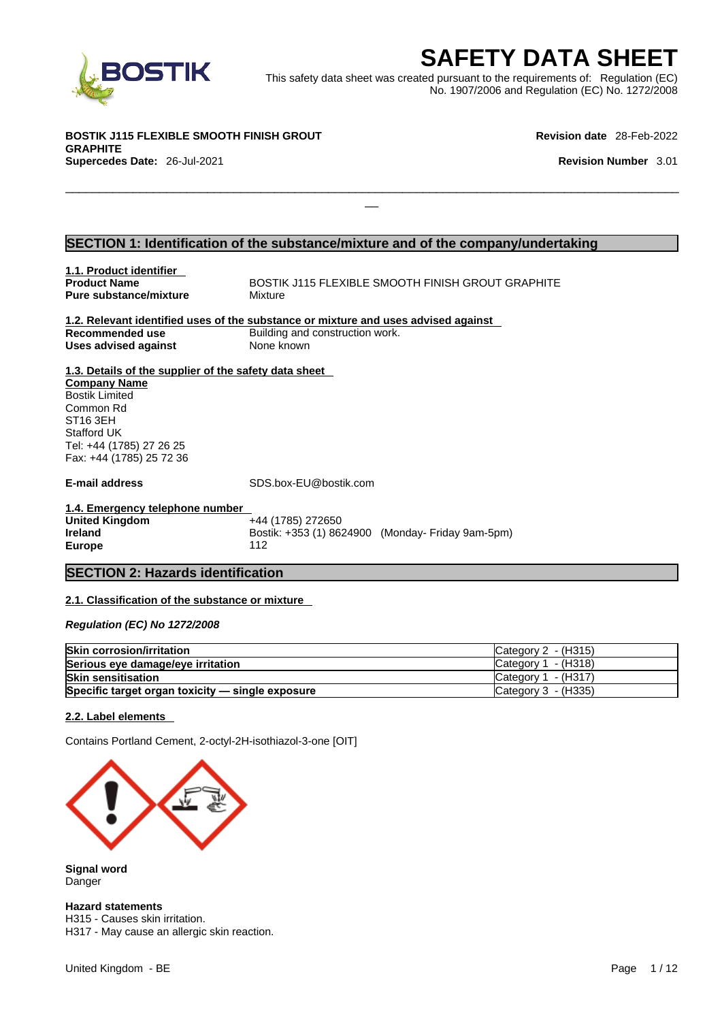

EXECRETY DATA SHEET<br>
Het was created pursuant to the requirements of: Regulation (EC)<br>
No. 1907/2006 and Regulation (EC) No. 1272/2008<br>
Revision date 28-Feb-2022<br>
Revision Number 3.01 This safety data sheet was created pursuant to the requirements of: Regulation (EC) No. 1907/2006 and Regulation (EC) No. 1272/2008

 $\Box$ 

**BOSTIK J115 FLEXIBLE SMOOTH FINISH GROUT GRAPHITE Supercedes Date:** 26-Jul-2021 **Revision Number** 3.01

**Revision date** 28-Feb-2022

#### **SECTION 1: Identification of the substance/mixture and of the company/undertaking**

| 1.1. Product identifier                               |                                                                                    |
|-------------------------------------------------------|------------------------------------------------------------------------------------|
| <b>Product Name</b>                                   | BOSTIK J115 FLEXIBLE SMOOTH FINISH GROUT GRAPHITE                                  |
| <b>Pure substance/mixture</b>                         | Mixture                                                                            |
|                                                       |                                                                                    |
|                                                       | 1.2. Relevant identified uses of the substance or mixture and uses advised against |
| Recommended use                                       | Building and construction work.                                                    |
| <b>Uses advised against</b>                           | None known                                                                         |
| 1.3. Details of the supplier of the safety data sheet |                                                                                    |
| <b>Company Name</b>                                   |                                                                                    |
| <b>Bostik Limited</b>                                 |                                                                                    |
| Common Rd<br>ST <sub>16</sub> 3EH                     |                                                                                    |
| Stafford UK                                           |                                                                                    |
| Tel: +44 (1785) 27 26 25                              |                                                                                    |
| Fax: +44 (1785) 25 72 36                              |                                                                                    |
|                                                       |                                                                                    |
| E-mail address                                        | SDS.box-EU@bostik.com                                                              |
| 1.4. Emergency telephone number                       |                                                                                    |
| <b>United Kingdom</b>                                 | +44 (1785) 272650                                                                  |
| <b>Ireland</b>                                        | Bostik: +353 (1) 8624900 (Monday- Friday 9am-5pm)                                  |
| <b>Europe</b>                                         | 112                                                                                |
|                                                       |                                                                                    |
| <b>SECTION 2: Hazards identification</b>              |                                                                                    |
|                                                       |                                                                                    |

#### **2.1. Classification of the substance or mixture**

*Regulation (EC) No 1272/2008* 

| <b>Skin corrosion/irritation</b>                 | Category $2 - (H315)$ |
|--------------------------------------------------|-----------------------|
| Serious eye damage/eye irritation                | Category $1 - (H318)$ |
| <b>Skin sensitisation</b>                        | $Cateqorv 1 - (H317)$ |
| Specific target organ toxicity - single exposure | Category 3 - (H335)   |

#### **2.2. Label elements**

Contains Portland Cement, 2-octyl-2H-isothiazol-3-one [OIT]



**Signal word** Danger

**Hazard statements**

H315 - Causes skin irritation. H317 - May cause an allergic skin reaction.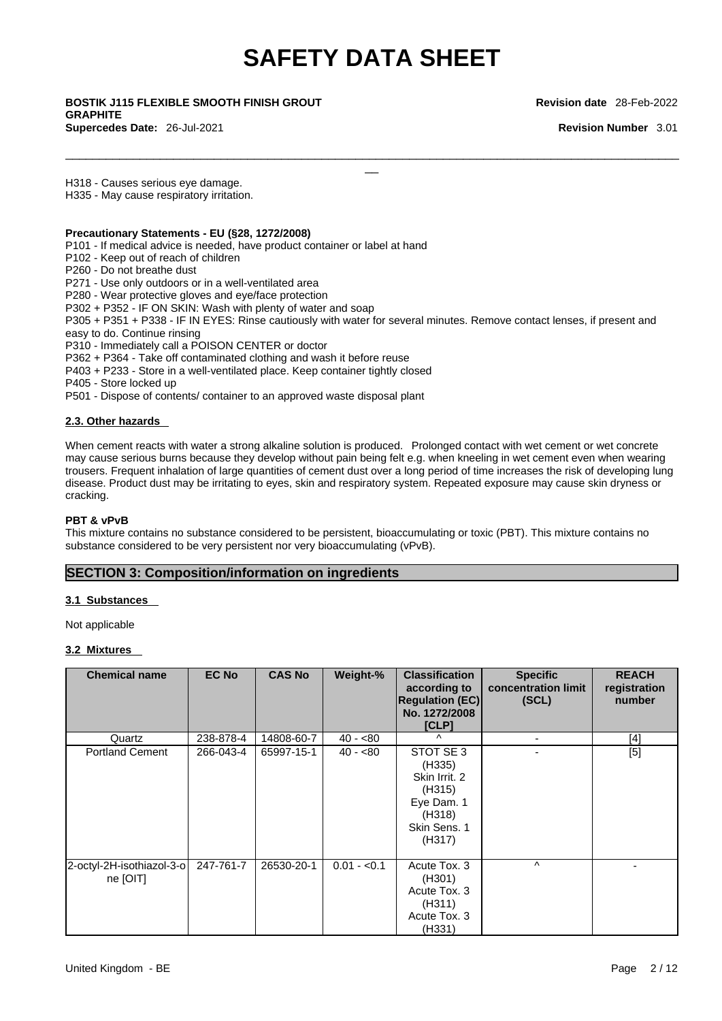$\Box$ 

\_\_ **BOSTIK J115 FLEXIBLE SMOOTH FINISH GROUT GRAPHITE Supercedes Date:** 26-Jul-2021 **Revision Number** 3.01

**Revision date** 28-Feb-2022

H318 - Causes serious eye damage.

H335 - May cause respiratory irritation.

#### **Precautionary Statements - EU (§28, 1272/2008)**

P101 - If medical advice is needed, have product container or label at hand

- P102 Keep out of reach of children
- P260 Do not breathe dust

P271 - Use only outdoors or in a well-ventilated area

P280 - Wear protective gloves and eye/face protection

P302 + P352 - IF ON SKIN: Wash with plenty of water and soap

P305 + P351 + P338 - IF IN EYES: Rinse cautiously with water for several minutes. Remove contact lenses, if present and easy to do. Continue rinsing

P310 - Immediately call a POISON CENTER or doctor

P362 + P364 - Take off contaminated clothing and wash it before reuse

P403 + P233 - Store in a well-ventilated place. Keep container tightly closed

P405 - Store locked up

P501 - Dispose of contents/ container to an approved waste disposal plant

#### **2.3. Other hazards**

When cement reacts with water a strong alkaline solution is produced. Prolonged contact with wet cement or wet concrete may cause serious burns because they develop without pain being felt e.g. when kneeling in wet cement even when wearing trousers. Frequent inhalation of large quantities of cement dust over a long period of time increases the risk of developing lung disease. Product dust may be irritating to eyes, skin and respiratory system. Repeated exposure may cause skin dryness or cracking.

#### **PBT & vPvB**

This mixture contains no substance considered to be persistent, bioaccumulating or toxic (PBT). This mixture contains no substance considered to be very persistent nor very bioaccumulating (vPvB).

#### **SECTION 3: Composition/information on ingredients**

#### **3.1 Substances**

Not applicable

#### **3.2 Mixtures**

| <b>Chemical name</b>                  | <b>EC No</b> | <b>CAS No</b> | Weight-%     | <b>Classification</b><br>according to<br><b>Regulation (EC)</b><br>No. 1272/2008<br>[CLP]        | <b>Specific</b><br>concentration limit<br>(SCL) | <b>REACH</b><br>registration<br>number |
|---------------------------------------|--------------|---------------|--------------|--------------------------------------------------------------------------------------------------|-------------------------------------------------|----------------------------------------|
| Quartz                                | 238-878-4    | 14808-60-7    | $40 - 80$    | $\lambda$                                                                                        | $\blacksquare$                                  | $[4]$                                  |
| <b>Portland Cement</b>                | 266-043-4    | 65997-15-1    | $40 - 80$    | STOT SE 3<br>(H335)<br>Skin Irrit. 2<br>(H315)<br>Eye Dam. 1<br>(H318)<br>Skin Sens. 1<br>(H317) |                                                 | $[5]$                                  |
| 2-octyl-2H-isothiazol-3-o<br>ne [OIT] | 247-761-7    | 26530-20-1    | $0.01 - 0.1$ | Acute Tox. 3<br>(H301)<br>Acute Tox. 3<br>(H311)<br>Acute Tox. 3<br>(H331)                       | $\wedge$                                        |                                        |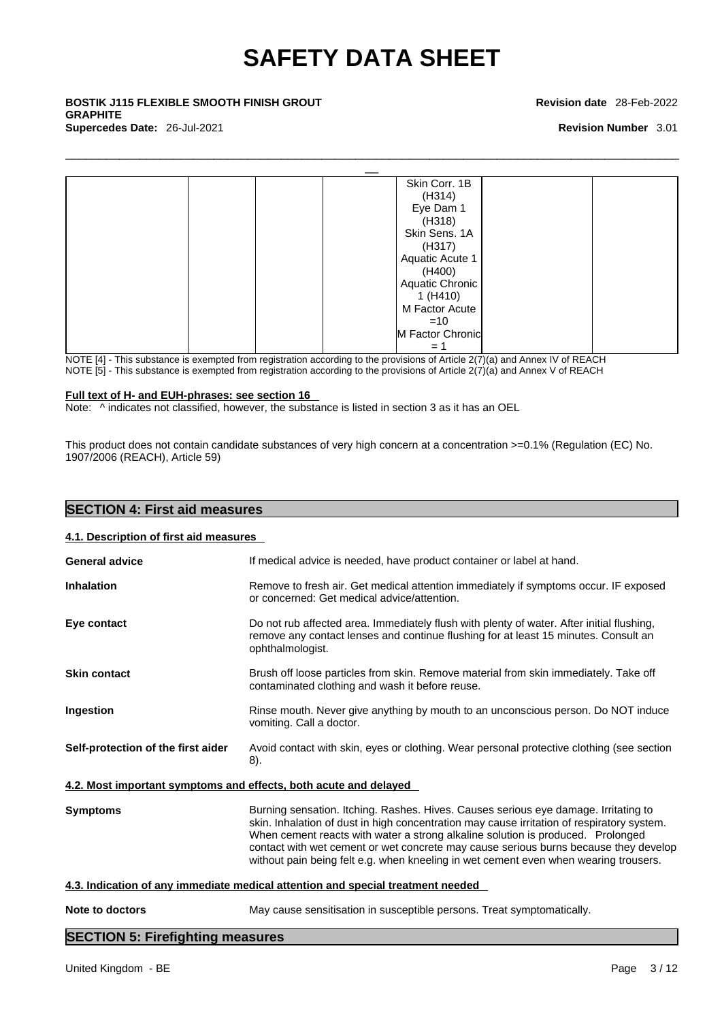$\Box$ 

\_\_ **BOSTIK J115 FLEXIBLE SMOOTH FINISH GROUT GRAPHITE Supercedes Date:** 26-Jul-2021 **Revision Number** 3.01

#### **Revision date** 28-Feb-2022



NOTE [4] - This substance is exempted from registration according to the provisions of Article 2(7)(a) and Annex IV of REACH

NOTE [5] - This substance is exempted from registration according to the provisions of Article  $2(7)(a)$  and Annex V of REACH

#### **Full text of H- and EUH-phrases: see section 16**

Note:  $\wedge$  indicates not classified, however, the substance is listed in section 3 as it has an OEL

This product does not contain candidate substances of very high concern at a concentration >=0.1% (Regulation (EC) No. 1907/2006 (REACH), Article 59)

| <b>SECTION 4: First aid measures</b>   |  |  |
|----------------------------------------|--|--|
| 4.1. Description of first aid measures |  |  |
|                                        |  |  |

| <b>General advice</b>              | If medical advice is needed, have product container or label at hand.                                                                                                                                                                                                                                                                                                                                                                                |  |
|------------------------------------|------------------------------------------------------------------------------------------------------------------------------------------------------------------------------------------------------------------------------------------------------------------------------------------------------------------------------------------------------------------------------------------------------------------------------------------------------|--|
| <b>Inhalation</b>                  | Remove to fresh air. Get medical attention immediately if symptoms occur. IF exposed<br>or concerned: Get medical advice/attention.                                                                                                                                                                                                                                                                                                                  |  |
| Eye contact                        | Do not rub affected area. Immediately flush with plenty of water. After initial flushing,<br>remove any contact lenses and continue flushing for at least 15 minutes. Consult an<br>ophthalmologist.                                                                                                                                                                                                                                                 |  |
| <b>Skin contact</b>                | Brush off loose particles from skin. Remove material from skin immediately. Take off<br>contaminated clothing and wash it before reuse.                                                                                                                                                                                                                                                                                                              |  |
| Ingestion                          | Rinse mouth. Never give anything by mouth to an unconscious person. Do NOT induce<br>vomiting. Call a doctor.                                                                                                                                                                                                                                                                                                                                        |  |
| Self-protection of the first aider | Avoid contact with skin, eyes or clothing. Wear personal protective clothing (see section<br>8).                                                                                                                                                                                                                                                                                                                                                     |  |
|                                    | 4.2. Most important symptoms and effects, both acute and delayed                                                                                                                                                                                                                                                                                                                                                                                     |  |
| <b>Symptoms</b>                    | Burning sensation. Itching. Rashes. Hives. Causes serious eye damage. Irritating to<br>skin. Inhalation of dust in high concentration may cause irritation of respiratory system.<br>When cement reacts with water a strong alkaline solution is produced. Prolonged<br>contact with wet cement or wet concrete may cause serious burns because they develop<br>without pain being felt e.g. when kneeling in wet cement even when wearing trousers. |  |
|                                    | 4.3. Indication of any immediate medical attention and special treatment needed                                                                                                                                                                                                                                                                                                                                                                      |  |
| Note to doctors                    | May cause sensitisation in susceptible persons. Treat symptomatically.                                                                                                                                                                                                                                                                                                                                                                               |  |

#### **SECTION 5: Firefighting measures**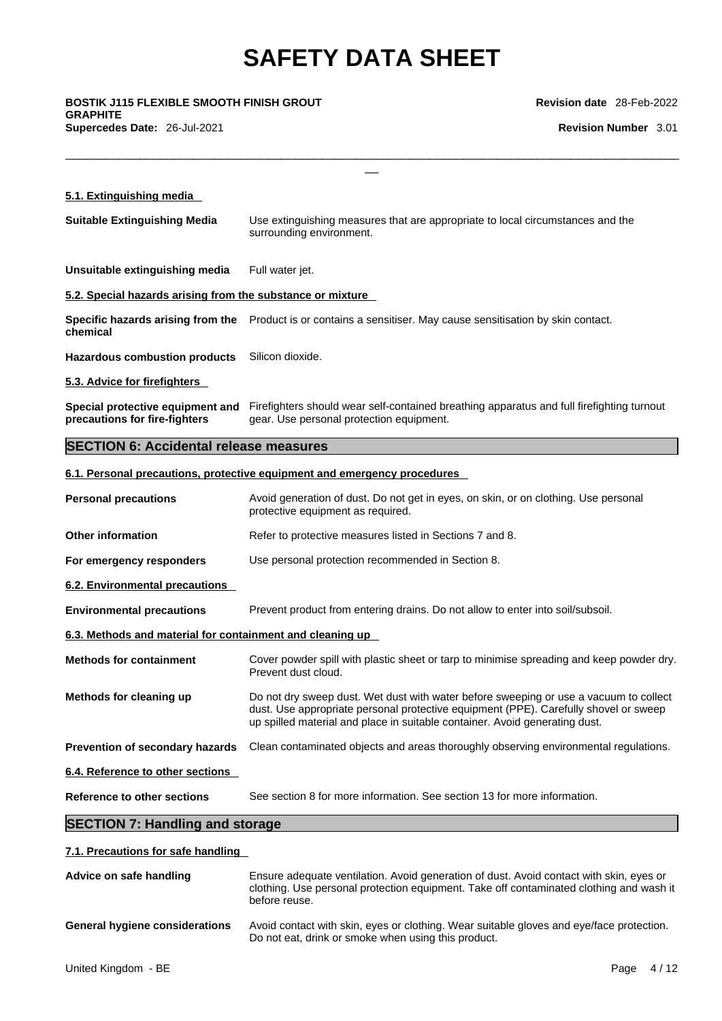**GRAPHITE Supercedes Date:** 26-Jul-2021 **Revision Number** 3.01

**Revision date** 28-Feb-2022

| <b>BOSTIK J115 FLEXIBLE SMOOTH FINISH GROUT</b><br>GRAPHITE | <b>Revision date</b> 28-Feb-2022                                                                                                                                                                                                                             |  |
|-------------------------------------------------------------|--------------------------------------------------------------------------------------------------------------------------------------------------------------------------------------------------------------------------------------------------------------|--|
| Supercedes Date: 26-Jul-2021                                | <b>Revision Number 3.01</b>                                                                                                                                                                                                                                  |  |
|                                                             |                                                                                                                                                                                                                                                              |  |
| 5.1. Extinguishing media                                    |                                                                                                                                                                                                                                                              |  |
| <b>Suitable Extinguishing Media</b>                         | Use extinguishing measures that are appropriate to local circumstances and the<br>surrounding environment.                                                                                                                                                   |  |
| Unsuitable extinguishing media                              | Full water jet.                                                                                                                                                                                                                                              |  |
| 5.2. Special hazards arising from the substance or mixture  |                                                                                                                                                                                                                                                              |  |
| chemical                                                    | Specific hazards arising from the Product is or contains a sensitiser. May cause sensitisation by skin contact.                                                                                                                                              |  |
| <b>Hazardous combustion products</b>                        | Silicon dioxide.                                                                                                                                                                                                                                             |  |
| 5.3. Advice for firefighters                                |                                                                                                                                                                                                                                                              |  |
| precautions for fire-fighters                               | Special protective equipment and Firefighters should wear self-contained breathing apparatus and full firefighting turnout<br>gear. Use personal protection equipment.                                                                                       |  |
| <b>SECTION 6: Accidental release measures</b>               |                                                                                                                                                                                                                                                              |  |
|                                                             | 6.1. Personal precautions, protective equipment and emergency procedures                                                                                                                                                                                     |  |
| <b>Personal precautions</b>                                 | Avoid generation of dust. Do not get in eyes, on skin, or on clothing. Use personal<br>protective equipment as required.                                                                                                                                     |  |
| <b>Other information</b>                                    | Refer to protective measures listed in Sections 7 and 8.                                                                                                                                                                                                     |  |
| For emergency responders                                    | Use personal protection recommended in Section 8.                                                                                                                                                                                                            |  |
| 6.2. Environmental precautions                              |                                                                                                                                                                                                                                                              |  |
| <b>Environmental precautions</b>                            | Prevent product from entering drains. Do not allow to enter into soil/subsoil.                                                                                                                                                                               |  |
| 6.3. Methods and material for containment and cleaning up   |                                                                                                                                                                                                                                                              |  |
| <b>Methods for containment</b>                              | Cover powder spill with plastic sheet or tarp to minimise spreading and keep powder dry.<br>Prevent dust cloud.                                                                                                                                              |  |
| Methods for cleaning up                                     | Do not dry sweep dust. Wet dust with water before sweeping or use a vacuum to collect<br>dust. Use appropriate personal protective equipment (PPE). Carefully shovel or sweep<br>up spilled material and place in suitable container. Avoid generating dust. |  |
| <b>Prevention of secondary hazards</b>                      | Clean contaminated objects and areas thoroughly observing environmental regulations.                                                                                                                                                                         |  |
| 6.4. Reference to other sections                            |                                                                                                                                                                                                                                                              |  |
| <b>Reference to other sections</b>                          | See section 8 for more information. See section 13 for more information.                                                                                                                                                                                     |  |
| <b>SECTION 7: Handling and storage</b>                      |                                                                                                                                                                                                                                                              |  |
| 7.1. Precautions for safe handling                          |                                                                                                                                                                                                                                                              |  |

**Advice on safe handling** Ensure adequate ventilation. Avoid generation of dust. Avoid contact with skin, eyes or clothing. Use personal protection equipment. Take off contaminated clothing and wash it before reuse. **General hygiene considerations** Avoid contact with skin, eyes or clothing. Wear suitable gloves and eye/face protection. Do not eat, drink or smoke when using this product.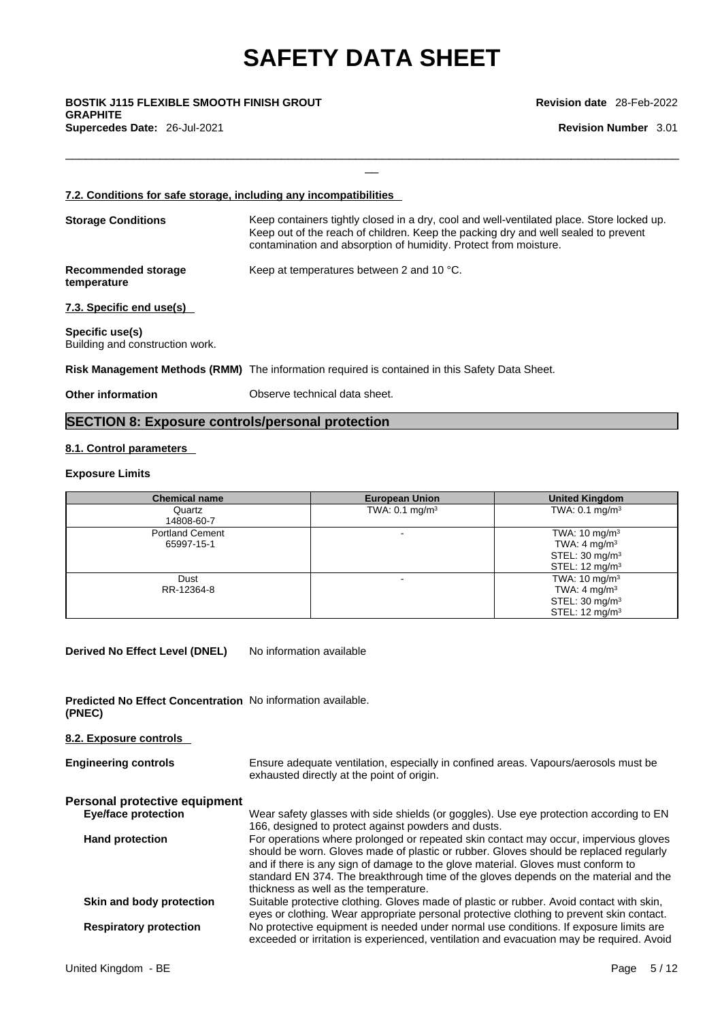$\Box$ 

\_\_ **BOSTIK J115 FLEXIBLE SMOOTH FINISH GROUT GRAPHITE Supercedes Date:** 26-Jul-2021 **Revision Number** 3.01

**Revision date** 28-Feb-2022

### **7.2. Conditions for safe storage, including any incompatibilities Storage Conditions** Keep containers tightly closed in a dry, cool and well-ventilated place. Store locked up. Keep out of the reach of children. Keep the packing dry and well sealed to prevent contamination and absorption of humidity. Protect from moisture. **Recommended storage temperature** Keep at temperatures between 2 and 10 °C. **7.3. Specific end use(s) Specific use(s)** Building and construction work. **Risk Management Methods (RMM)** The information required is contained in this Safety Data Sheet. **Other information** Observe technical data sheet.

#### **SECTION 8: Exposure controls/personal protection**

#### **8.1. Control parameters**

#### **Exposure Limits**

| <b>Chemical name</b>                 | <b>European Union</b>     | <b>United Kingdom</b>                                                                                          |
|--------------------------------------|---------------------------|----------------------------------------------------------------------------------------------------------------|
| Quartz<br>14808-60-7                 | TWA: $0.1 \text{ mg/m}^3$ | TWA: $0.1 \text{ mg/m}^3$                                                                                      |
| <b>Portland Cement</b><br>65997-15-1 |                           | TWA: $10 \text{ mg/m}^3$<br>TWA: $4 \text{ mg/m}^3$<br>STEL: $30 \text{ mg/m}^3$<br>STEL: $12 \text{ mg/m}^3$  |
| Dust<br>RR-12364-8                   |                           | TWA: $10 \text{ mg/m}^3$<br>TWA: 4 mg/m <sup>3</sup><br>STEL: $30 \text{ mg/m}^3$<br>STEL: $12 \text{ mg/m}^3$ |

**Derived No Effect Level (DNEL)** No information available

**Predicted No Effect Concentration** No information available. **(PNEC)** 

| 8.2. Exposure controls        |                                                                                                                                                                                                                                                                                                                                                                                                    |
|-------------------------------|----------------------------------------------------------------------------------------------------------------------------------------------------------------------------------------------------------------------------------------------------------------------------------------------------------------------------------------------------------------------------------------------------|
| <b>Engineering controls</b>   | Ensure adequate ventilation, especially in confined areas. Vapours/aerosols must be<br>exhausted directly at the point of origin.                                                                                                                                                                                                                                                                  |
| Personal protective equipment |                                                                                                                                                                                                                                                                                                                                                                                                    |
| <b>Eye/face protection</b>    | Wear safety glasses with side shields (or goggles). Use eye protection according to EN<br>166, designed to protect against powders and dusts.                                                                                                                                                                                                                                                      |
| <b>Hand protection</b>        | For operations where prolonged or repeated skin contact may occur, impervious gloves<br>should be worn. Gloves made of plastic or rubber. Gloves should be replaced regularly<br>and if there is any sign of damage to the glove material. Gloves must conform to<br>standard EN 374. The breakthrough time of the gloves depends on the material and the<br>thickness as well as the temperature. |
| Skin and body protection      | Suitable protective clothing. Gloves made of plastic or rubber. Avoid contact with skin,<br>eyes or clothing. Wear appropriate personal protective clothing to prevent skin contact.                                                                                                                                                                                                               |
| <b>Respiratory protection</b> | No protective equipment is needed under normal use conditions. If exposure limits are<br>exceeded or irritation is experienced, ventilation and evacuation may be required. Avoid                                                                                                                                                                                                                  |
| United Kingdom - BE           | 5/12<br>Page                                                                                                                                                                                                                                                                                                                                                                                       |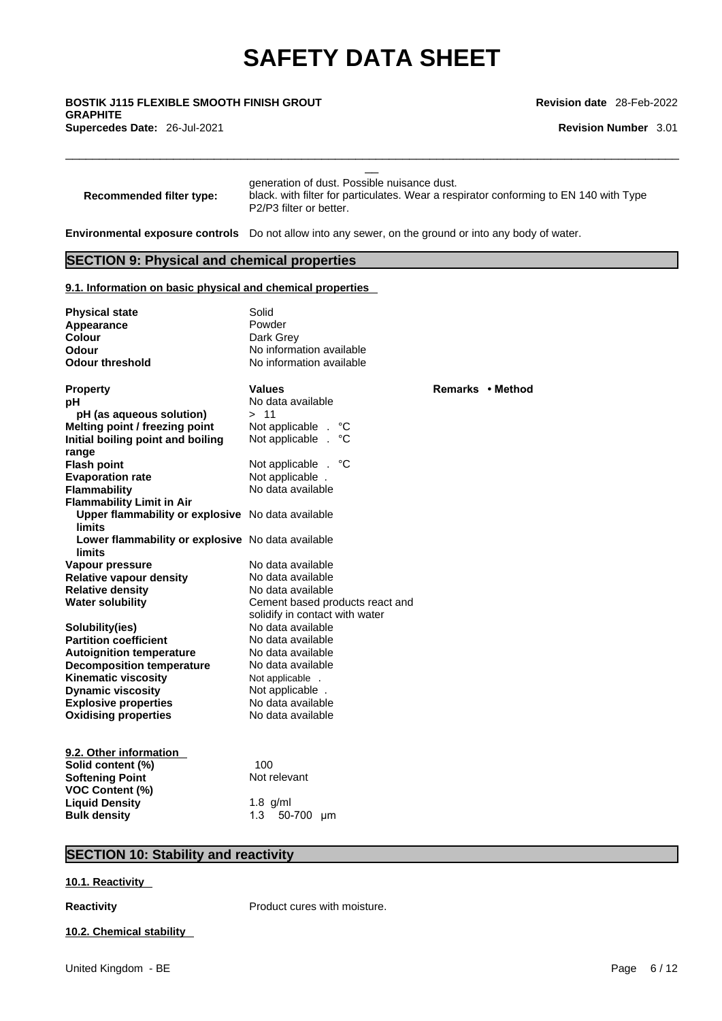\_\_ **BOSTIK J115 FLEXIBLE SMOOTH FINISH GROUT GRAPHITE Supercedes Date:** 26-Jul-2021 **Revision Number** 3.01

**Revision date** 28-Feb-2022

| <b>Recommended filter type:</b> | generation of dust. Possible nuisance dust.<br>black, with filter for particulates. Wear a respirator conforming to EN 140 with Type<br>P2/P3 filter or better. |
|---------------------------------|-----------------------------------------------------------------------------------------------------------------------------------------------------------------|

**Environmental exposure controls** Do not allow into any sewer, on the ground or into any body of water.

 $\Box$ 

#### **SECTION 9: Physical and chemical properties**

#### **9.1. Information on basic physical and chemical properties**

| <b>Physical state</b><br>Appearance<br><b>Colour</b><br>Odour      | Solid<br>Powder<br>Dark Grey<br>No information available |                  |
|--------------------------------------------------------------------|----------------------------------------------------------|------------------|
| <b>Odour threshold</b>                                             | No information available                                 |                  |
| <b>Property</b>                                                    | <b>Values</b>                                            | Remarks • Method |
| рH                                                                 | No data available                                        |                  |
| pH (as aqueous solution)                                           | >11                                                      |                  |
| Melting point / freezing point                                     | Not applicable .<br>°C                                   |                  |
| Initial boiling point and boiling                                  | Not applicable<br>°C<br>$\overline{a}$                   |                  |
| range                                                              |                                                          |                  |
| <b>Flash point</b>                                                 | Not applicable . °C                                      |                  |
| <b>Evaporation rate</b>                                            | Not applicable .                                         |                  |
| Flammability                                                       | No data available                                        |                  |
| <b>Flammability Limit in Air</b>                                   |                                                          |                  |
| Upper flammability or explosive No data available<br>limits        |                                                          |                  |
| Lower flammability or explosive No data available<br><b>limits</b> |                                                          |                  |
| Vapour pressure                                                    | No data available                                        |                  |
| <b>Relative vapour density</b>                                     | No data available                                        |                  |
| <b>Relative density</b>                                            | No data available                                        |                  |
| <b>Water solubility</b>                                            | Cement based products react and                          |                  |
|                                                                    | solidify in contact with water                           |                  |
| Solubility(ies)                                                    | No data available                                        |                  |
| <b>Partition coefficient</b>                                       | No data available                                        |                  |
| <b>Autoignition temperature</b>                                    | No data available                                        |                  |
| <b>Decomposition temperature</b>                                   | No data available                                        |                  |
| <b>Kinematic viscosity</b>                                         | Not applicable .                                         |                  |
| <b>Dynamic viscosity</b>                                           | Not applicable.                                          |                  |
| <b>Explosive properties</b>                                        | No data available                                        |                  |
| <b>Oxidising properties</b>                                        | No data available                                        |                  |
| 9.2. Other information                                             |                                                          |                  |
| Solid content (%)                                                  | 100                                                      |                  |
| <b>Softening Point</b>                                             | Not relevant                                             |                  |
| <b>VOC Content (%)</b>                                             |                                                          |                  |
| <b>Liquid Density</b>                                              | $1.8$ g/ml                                               |                  |
| <b>Bulk density</b>                                                | 1.3<br>50-700 µm                                         |                  |

#### **SECTION 10: Stability and reactivity**

**10.1. Reactivity** 

**Reactivity Product cures with moisture.** 

#### **10.2. Chemical stability**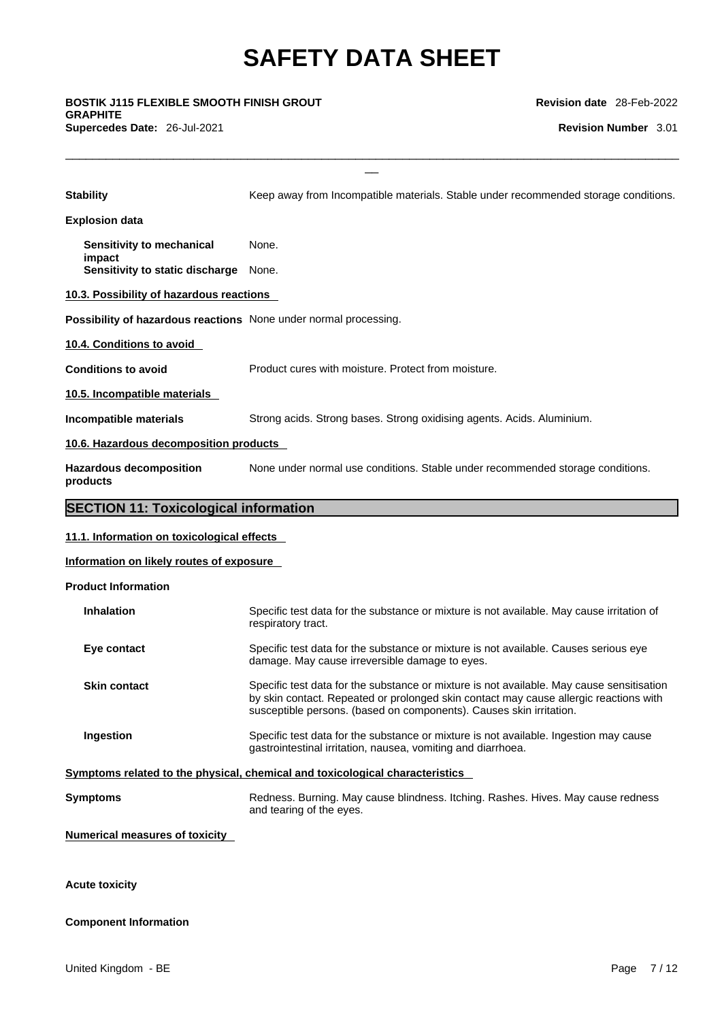$\Box$ 

\_\_ **BOSTIK J115 FLEXIBLE SMOOTH FINISH GROUT GRAPHITE Supercedes Date:** 26-Jul-2021 **Revision Number** 3.01

**Revision date** 28-Feb-2022

| <b>Stability</b>                                                 | Keep away from Incompatible materials. Stable under recommended storage conditions.                                                                                                                                                                       |  |  |  |  |  |
|------------------------------------------------------------------|-----------------------------------------------------------------------------------------------------------------------------------------------------------------------------------------------------------------------------------------------------------|--|--|--|--|--|
| <b>Explosion data</b>                                            |                                                                                                                                                                                                                                                           |  |  |  |  |  |
| Sensitivity to mechanical                                        | None.                                                                                                                                                                                                                                                     |  |  |  |  |  |
| impact<br>Sensitivity to static discharge                        | None.                                                                                                                                                                                                                                                     |  |  |  |  |  |
| 10.3. Possibility of hazardous reactions                         |                                                                                                                                                                                                                                                           |  |  |  |  |  |
| Possibility of hazardous reactions None under normal processing. |                                                                                                                                                                                                                                                           |  |  |  |  |  |
| 10.4. Conditions to avoid                                        |                                                                                                                                                                                                                                                           |  |  |  |  |  |
| <b>Conditions to avoid</b>                                       | Product cures with moisture. Protect from moisture.                                                                                                                                                                                                       |  |  |  |  |  |
| 10.5. Incompatible materials                                     |                                                                                                                                                                                                                                                           |  |  |  |  |  |
| Incompatible materials                                           | Strong acids. Strong bases. Strong oxidising agents. Acids. Aluminium.                                                                                                                                                                                    |  |  |  |  |  |
| 10.6. Hazardous decomposition products                           |                                                                                                                                                                                                                                                           |  |  |  |  |  |
| <b>Hazardous decomposition</b><br>products                       | None under normal use conditions. Stable under recommended storage conditions.                                                                                                                                                                            |  |  |  |  |  |
| <b>SECTION 11: Toxicological information</b>                     |                                                                                                                                                                                                                                                           |  |  |  |  |  |
| 11.1. Information on toxicological effects                       |                                                                                                                                                                                                                                                           |  |  |  |  |  |
| Information on likely routes of exposure                         |                                                                                                                                                                                                                                                           |  |  |  |  |  |
| <b>Product Information</b>                                       |                                                                                                                                                                                                                                                           |  |  |  |  |  |
| <b>Inhalation</b>                                                | Specific test data for the substance or mixture is not available. May cause irritation of<br>respiratory tract.                                                                                                                                           |  |  |  |  |  |
| Eye contact                                                      | Specific test data for the substance or mixture is not available. Causes serious eye<br>damage. May cause irreversible damage to eyes.                                                                                                                    |  |  |  |  |  |
| <b>Skin contact</b>                                              | Specific test data for the substance or mixture is not available. May cause sensitisation<br>by skin contact. Repeated or prolonged skin contact may cause allergic reactions with<br>susceptible persons. (based on components). Causes skin irritation. |  |  |  |  |  |
| Ingestion                                                        | Specific test data for the substance or mixture is not available. Ingestion may cause<br>gastrointestinal irritation, nausea, vomiting and diarrhoea.                                                                                                     |  |  |  |  |  |
|                                                                  | Symptoms related to the physical, chemical and toxicological characteristics                                                                                                                                                                              |  |  |  |  |  |
| <b>Symptoms</b>                                                  | Redness. Burning. May cause blindness. Itching. Rashes. Hives. May cause redness<br>and tearing of the eyes.                                                                                                                                              |  |  |  |  |  |
| <b>Numerical measures of toxicity</b>                            |                                                                                                                                                                                                                                                           |  |  |  |  |  |
| Acute toxicity                                                   |                                                                                                                                                                                                                                                           |  |  |  |  |  |

**Acute toxicity** 

#### **Component Information**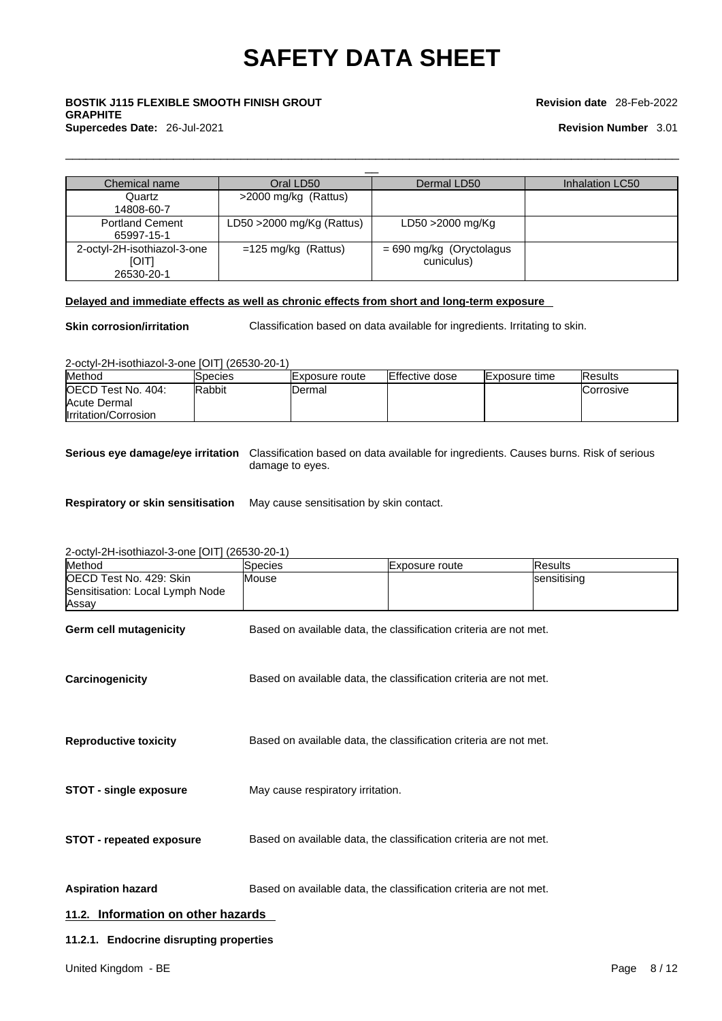### \_\_ **BOSTIK J115 FLEXIBLE SMOOTH FINISH GROUT GRAPHITE Supercedes Date:** 26-Jul-2021 **Revision Number** 3.01

#### **Revision date** 28-Feb-2022

| Chemical name                                             | Oral LD50                 | Dermal LD50                              | Inhalation LC50 |
|-----------------------------------------------------------|---------------------------|------------------------------------------|-----------------|
| Quartz<br>14808-60-7                                      | >2000 mg/kg (Rattus)      |                                          |                 |
| <b>Portland Cement</b><br>65997-15-1                      | LD50 >2000 mg/Kg (Rattus) | LD50 >2000 mg/Kg                         |                 |
| 2-octyl-2H-isothiazol-3-one<br><b>[OIT]</b><br>26530-20-1 | $=125$ mg/kg (Rattus)     | $= 690$ mg/kg (Oryctolagus<br>cuniculus) |                 |

#### **Delayed and immediate effects as well as chronic effects from short and long-term exposure**

**Skin corrosion/irritation** Classification based on data available for ingredients. Irritating to skin.

 $\Box$ 

2-octyl-2H-isothiazol-3-one [OIT] (26530-20-1)

| Method                     | ISpecies      | Exposure route | Effective dose | <b>Exposure time</b> | <b>IResults</b>   |
|----------------------------|---------------|----------------|----------------|----------------------|-------------------|
| <b>IOECD Test No. 404:</b> | <b>Rabbit</b> | IDermal        |                |                      | <b>ICorrosive</b> |
| Acute Dermal               |               |                |                |                      |                   |
| Irritation/Corrosion       |               |                |                |                      |                   |

**Serious eye damage/eye irritation** Classification based on data available for ingredients. Causes burns. Risk of serious damage to eyes.

**Respiratory or skin sensitisation** May cause sensitisation by skin contact.

2-octyl-2H-isothiazol-3-one [OIT] (26530-20-1)

| Method                                                              | Species                                                           | Exposure route                                                    | <b>Results</b> |  |
|---------------------------------------------------------------------|-------------------------------------------------------------------|-------------------------------------------------------------------|----------------|--|
| OECD Test No. 429: Skin<br>Sensitisation: Local Lymph Node<br>Assay | Mouse                                                             |                                                                   | sensitising    |  |
| <b>Germ cell mutagenicity</b>                                       |                                                                   | Based on available data, the classification criteria are not met. |                |  |
| Carcinogenicity                                                     |                                                                   | Based on available data, the classification criteria are not met. |                |  |
| <b>Reproductive toxicity</b>                                        |                                                                   | Based on available data, the classification criteria are not met. |                |  |
| <b>STOT - single exposure</b>                                       | May cause respiratory irritation.                                 |                                                                   |                |  |
| <b>STOT - repeated exposure</b>                                     | Based on available data, the classification criteria are not met. |                                                                   |                |  |
| <b>Aspiration hazard</b>                                            |                                                                   | Based on available data, the classification criteria are not met. |                |  |
| 11.2. Information on other hazards                                  |                                                                   |                                                                   |                |  |
| 11.2.1. Endocrine disrupting properties                             |                                                                   |                                                                   |                |  |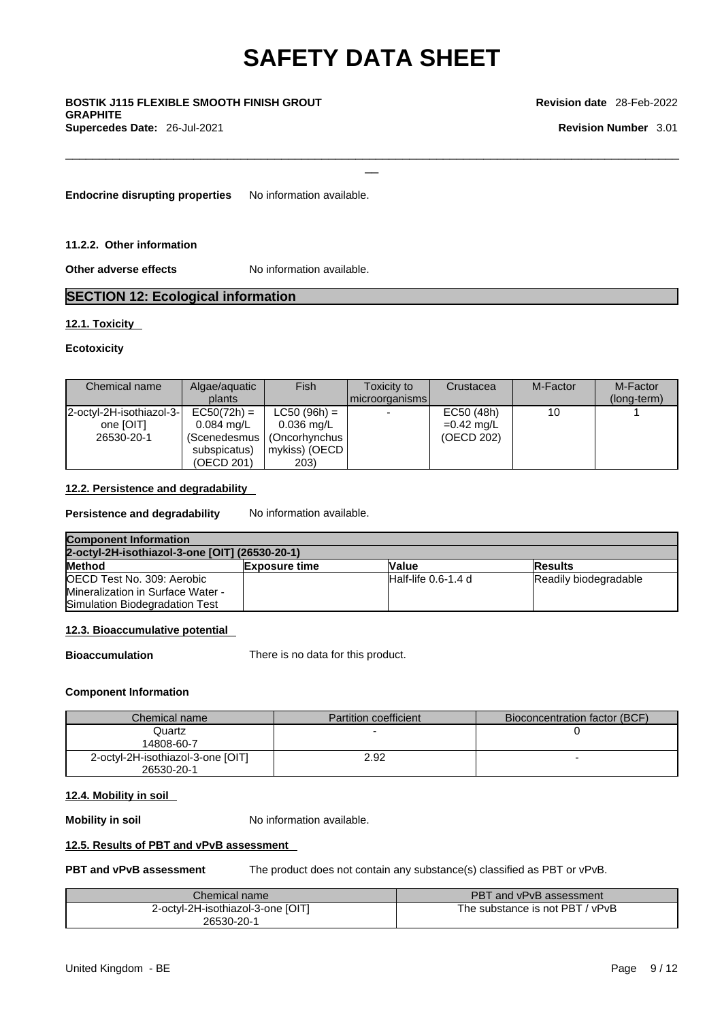$\Box$ 

# \_\_ **BOSTIK J115 FLEXIBLE SMOOTH FINISH GROUT GRAPHITE**

**Supercedes Date:** 26-Jul-2021 **Revision Number** 3.01

#### **Revision date** 28-Feb-2022

**Endocrine disrupting properties** No information available.

**11.2.2. Other information** 

**Other adverse effects** No information available.

#### **SECTION 12: Ecological information**

#### **12.1. Toxicity**

#### **Ecotoxicity**

| Chemical name            | Algae/aguatic        | Fish           | Toxicity to    | Crustacea    | M-Factor | M-Factor    |
|--------------------------|----------------------|----------------|----------------|--------------|----------|-------------|
|                          | plants               |                | microorganisms |              |          | (long-term) |
| 2-octyl-2H-isothiazol-3- | $EC50(72h) =$        | $LC50 (96h) =$ |                | EC50 (48h)   | 10       |             |
| one [OIT]                | $0.084 \text{ ma/L}$ | 0.036 mg/L     |                | $=0.42$ mg/L |          |             |
| 26530-20-1               | (Scenedesmus         | (Oncorhynchus  |                | (OECD 202)   |          |             |
|                          | subspicatus)         | mykiss) (OECD  |                |              |          |             |
|                          | (OECD 201)           | 203)           |                |              |          |             |

#### **12.2. Persistence and degradability**

**Persistence and degradability** No information available.

| <b>Component Information</b>                   |                      |                        |                       |  |
|------------------------------------------------|----------------------|------------------------|-----------------------|--|
| 2-octyl-2H-isothiazol-3-one [OIT] (26530-20-1) |                      |                        |                       |  |
| <b>Method</b>                                  | <b>Exposure time</b> | <b>Value</b>           | <b>IResults</b>       |  |
| OECD Test No. 309: Aerobic                     |                      | $H$ alf-life 0.6-1.4 d | Readily biodegradable |  |
| Mineralization in Surface Water -              |                      |                        |                       |  |
| Simulation Biodegradation Test                 |                      |                        |                       |  |

#### **12.3. Bioaccumulative potential**

**Bioaccumulation** There is no data for this product.

#### **Component Information**

| Chemical name                                   | Partition coefficient | Bioconcentration factor (BCF) |
|-------------------------------------------------|-----------------------|-------------------------------|
| Quartz<br>14808-60-7                            |                       |                               |
| 2-octyl-2H-isothiazol-3-one [OIT]<br>26530-20-1 | 2.92                  |                               |

#### **12.4. Mobility in soil**

**Mobility in soil** No information available.

#### **12.5. Results of PBT and vPvB assessment**

**PBT and vPvB assessment** The product does not contain any substance(s) classified as PBT or vPvB.

| Chemical name                     | PBT and vPvB assessment         |
|-----------------------------------|---------------------------------|
| 2-octyl-2H-isothiazol-3-one [OIT] | The substance is not PBT / vPvB |
| 26530-20-1                        |                                 |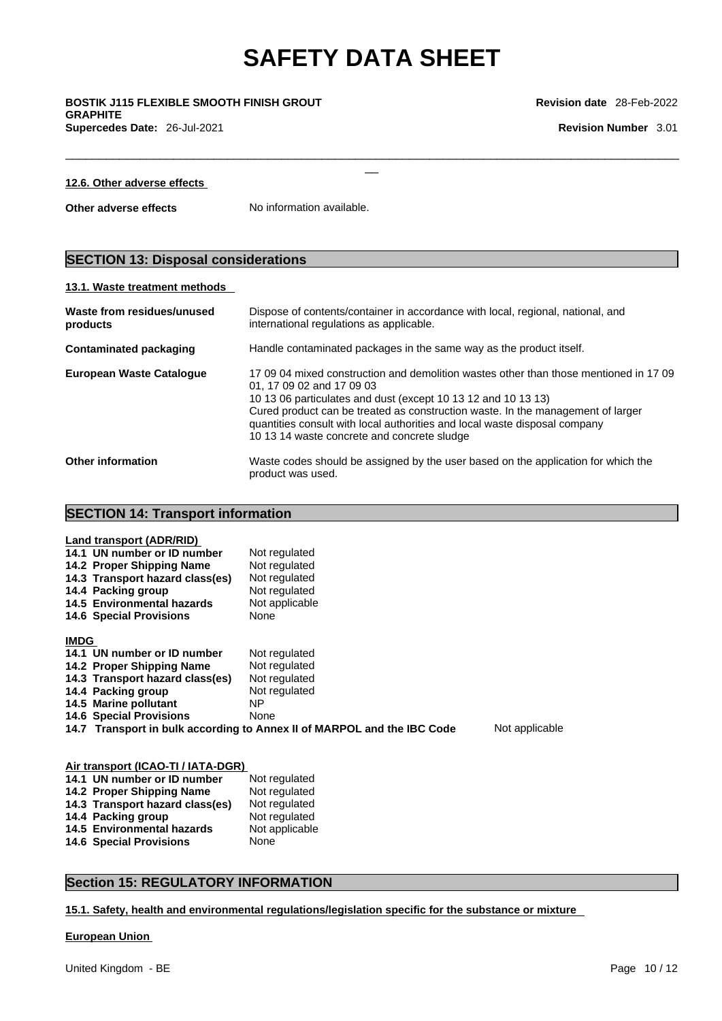$\Box$ 

\_\_ **BOSTIK J115 FLEXIBLE SMOOTH FINISH GROUT GRAPHITE Supercedes Date:** 26-Jul-2021 **Revision Number** 3.01

| 12.6. Other adverse effects |
|-----------------------------|
|-----------------------------|

**Other adverse effects** No information available.

#### **SECTION 13: Disposal considerations**

#### **13.1. Waste treatment methods**

| Waste from residues/unused<br>products | Dispose of contents/container in accordance with local, regional, national, and<br>international regulations as applicable.                                                                                                                                                                                                                                                                         |
|----------------------------------------|-----------------------------------------------------------------------------------------------------------------------------------------------------------------------------------------------------------------------------------------------------------------------------------------------------------------------------------------------------------------------------------------------------|
| Contaminated packaging                 | Handle contaminated packages in the same way as the product itself.                                                                                                                                                                                                                                                                                                                                 |
| <b>European Waste Catalogue</b>        | 17,09,04 mixed construction and demolition wastes other than those mentioned in 17,09<br>01, 17 09 02 and 17 09 03<br>10 13 06 particulates and dust (except 10 13 12 and 10 13 13)<br>Cured product can be treated as construction waste. In the management of larger<br>quantities consult with local authorities and local waste disposal company<br>10 13 14 waste concrete and concrete sludge |
| <b>Other information</b>               | Waste codes should be assigned by the user based on the application for which the<br>product was used.                                                                                                                                                                                                                                                                                              |

#### **SECTION 14: Transport information**

|             | Land transport (ADR/RID)<br>14.1 UN number or ID number<br>14.2 Proper Shipping Name<br>14.3 Transport hazard class(es)<br>14.4 Packing group<br>14.5 Environmental hazards<br><b>14.6 Special Provisions</b> | Not regulated<br>Not regulated<br>Not regulated<br>Not regulated<br>Not applicable<br>None |                |
|-------------|---------------------------------------------------------------------------------------------------------------------------------------------------------------------------------------------------------------|--------------------------------------------------------------------------------------------|----------------|
| <b>IMDG</b> |                                                                                                                                                                                                               |                                                                                            |                |
|             | 14.1 UN number or ID number                                                                                                                                                                                   | Not regulated                                                                              |                |
|             | 14.2 Proper Shipping Name                                                                                                                                                                                     | Not regulated                                                                              |                |
|             | 14.3 Transport hazard class(es)                                                                                                                                                                               | Not regulated                                                                              |                |
|             | 14.4 Packing group                                                                                                                                                                                            | Not regulated                                                                              |                |
|             | 14.5 Marine pollutant                                                                                                                                                                                         | NΡ                                                                                         |                |
|             | <b>14.6 Special Provisions</b>                                                                                                                                                                                | None                                                                                       |                |
|             |                                                                                                                                                                                                               | 14.7 Transport in bulk according to Annex II of MARPOL and the IBC Code                    | Not applicable |

#### **Air transport (ICAO-TI / IATA-DGR)**

| 14.1 UN number or ID number       | Not regulated  |
|-----------------------------------|----------------|
| 14.2 Proper Shipping Name         | Not regulated  |
| 14.3 Transport hazard class(es)   | Not regulated  |
| 14.4 Packing group                | Not regulated  |
| <b>14.5 Environmental hazards</b> | Not applicable |
| <b>14.6 Special Provisions</b>    | None           |

#### **Section 15: REGULATORY INFORMATION**

#### **15.1. Safety, health and environmental regulations/legislation specific for the substance or mixture**

#### **European Union**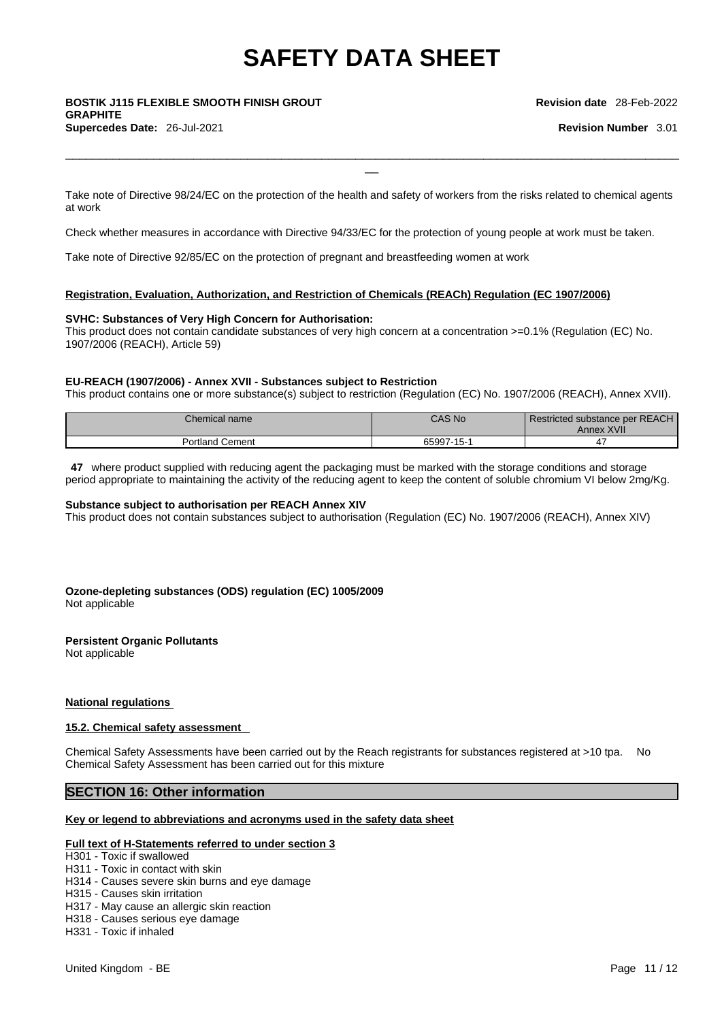### \_\_ **BOSTIK J115 FLEXIBLE SMOOTH FINISH GROUT GRAPHITE Supercedes Date:** 26-Jul-2021 **Revision Number** 3.01

**Revision date** 28-Feb-2022

Take note of Directive 98/24/EC on the protection of the health and safety of workers from the risks related to chemical agents at work

 $\Box$ 

Check whether measures in accordance with Directive 94/33/EC for the protection of young people at work must be taken.

Take note of Directive 92/85/EC on the protection of pregnant and breastfeeding women at work

#### **Registration, Evaluation, Authorization, and Restriction of Chemicals (REACh) Regulation (EC 1907/2006)**

#### **SVHC: Substances of Very High Concern for Authorisation:**

This product does not contain candidate substances of very high concern at a concentration >=0.1% (Regulation (EC) No. 1907/2006 (REACH), Article 59)

#### **EU-REACH (1907/2006) - Annex XVII - Substances subject to Restriction**

This product contains one or more substance(s) subject to restriction (Regulation (EC) No. 1907/2006 (REACH), Annex XVII).

| Chemical name        | <b>CAS No.</b> | Restricted substance per REACH<br>Annex XVII |
|----------------------|----------------|----------------------------------------------|
| Portland<br>l Cement | 65997-15-1     | 4                                            |

**47** where product supplied with reducing agent the packaging must be marked with the storage conditions and storage period appropriate to maintaining the activity of the reducing agent to keep the content of soluble chromium VI below 2mg/Kg.

#### **Substance subject to authorisation per REACH Annex XIV**

This product does not contain substances subject to authorisation (Regulation (EC) No. 1907/2006 (REACH), Annex XIV)

#### **Ozone-depleting substances (ODS) regulation (EC) 1005/2009** Not applicable

#### **Persistent Organic Pollutants**

Not applicable

#### **National regulations**

#### **15.2. Chemical safety assessment**

Chemical Safety Assessments have been carried out by the Reach registrants for substances registered at >10 tpa. No Chemical Safety Assessment has been carried out for this mixture

#### **SECTION 16: Other information**

#### **Key or legend to abbreviations and acronyms used in the safety data sheet**

#### **Full text of H-Statements referred to under section 3**

H301 - Toxic if swallowed

- H311 Toxic in contact with skin
- H314 Causes severe skin burns and eye damage
- H315 Causes skin irritation
- H317 May cause an allergic skin reaction
- H318 Causes serious eye damage
- H331 Toxic if inhaled